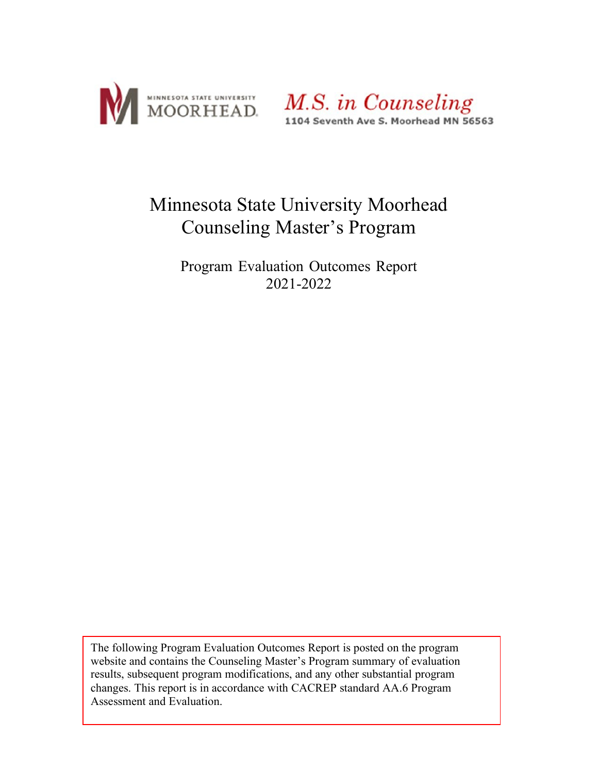



# Minnesota State University Moorhead Counseling Master's Program

Program Evaluation Outcomes Report 2021-2022

The following Program Evaluation Outcomes Report is posted on the program website and contains the Counseling Master's Program summary of evaluation results, subsequent program modifications, and any other substantial program changes. This report is in accordance with CACREP standard AA.6 Program Assessment and Evaluation.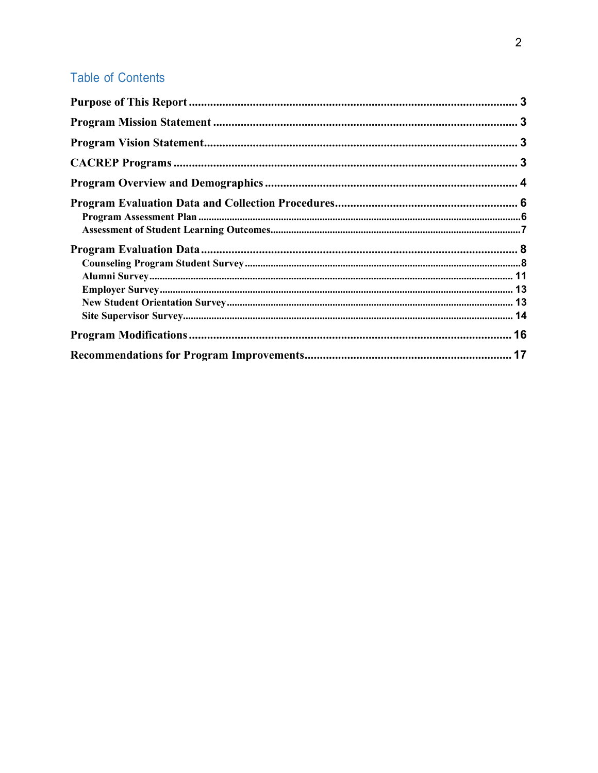# **Table of Contents**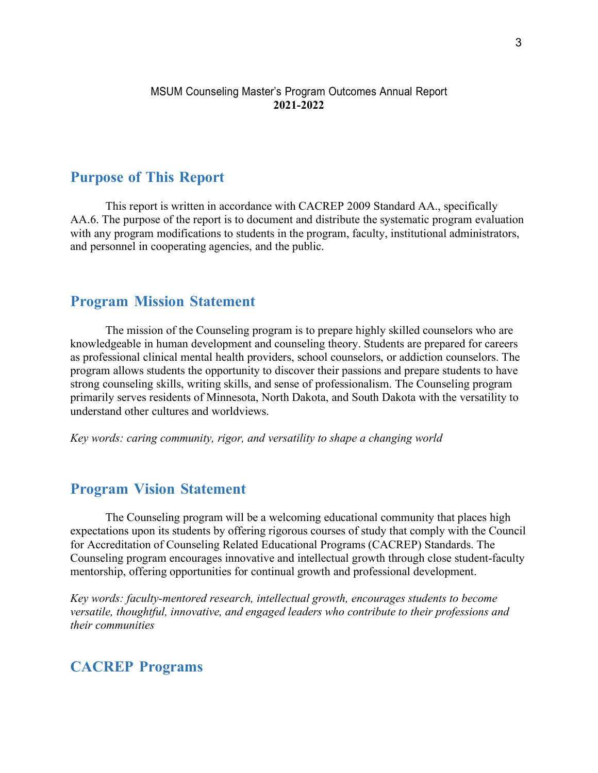#### MSUM Counseling Master's Program Outcomes Annual Report **2021-2022**

## <span id="page-2-0"></span>**Purpose of This Report**

This report is written in accordance with CACREP 2009 Standard AA., specifically AA.6. The purpose of the report is to document and distribute the systematic program evaluation with any program modifications to students in the program, faculty, institutional administrators, and personnel in cooperating agencies, and the public.

## <span id="page-2-1"></span>**Program Mission Statement**

The mission of the Counseling program is to prepare highly skilled counselors who are knowledgeable in human development and counseling theory. Students are prepared for careers as professional clinical mental health providers, school counselors, or addiction counselors. The program allows students the opportunity to discover their passions and prepare students to have strong counseling skills, writing skills, and sense of professionalism. The Counseling program primarily serves residents of Minnesota, North Dakota, and South Dakota with the versatility to understand other cultures and worldviews.

*Key words: caring community, rigor, and versatility to shape a changing world*

## <span id="page-2-2"></span>**Program Vision Statement**

The Counseling program will be a welcoming educational community that places high expectations upon its students by offering rigorous courses of study that comply with the Council for Accreditation of Counseling Related Educational Programs (CACREP) Standards. The Counseling program encourages innovative and intellectual growth through close student-faculty mentorship, offering opportunities for continual growth and professional development.

*Key words: faculty-mentored research, intellectual growth, encourages students to become versatile, thoughtful, innovative, and engaged leaders who contribute to their professions and their communities*

## <span id="page-2-3"></span>**CACREP Programs**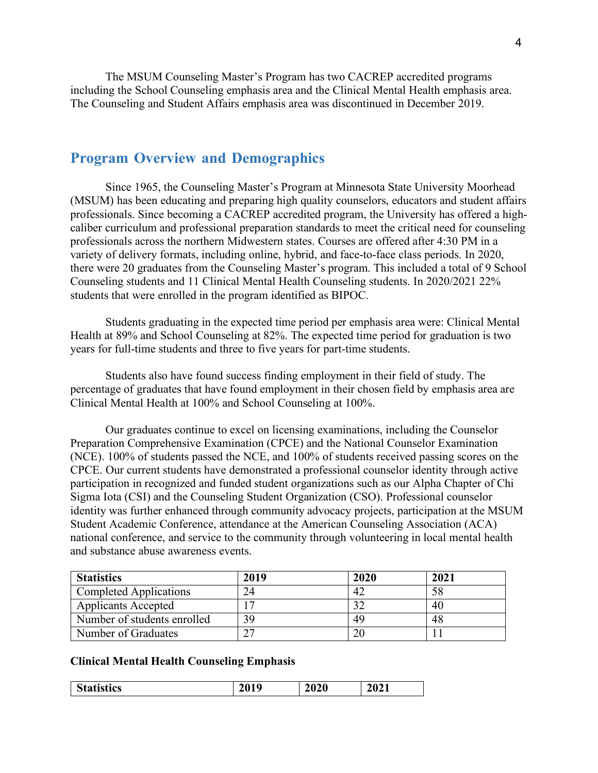The MSUM Counseling Master's Program has two CACREP accredited programs including the School Counseling emphasis area and the Clinical Mental Health emphasis area. The Counseling and Student Affairs emphasis area was discontinued in December 2019.

## <span id="page-3-0"></span>**Program Overview and Demographics**

Since 1965, the Counseling Master's Program at Minnesota State University Moorhead (MSUM) has been educating and preparing high quality counselors, educators and student affairs professionals. Since becoming a CACREP accredited program, the University has offered a highcaliber curriculum and professional preparation standards to meet the critical need for counseling professionals across the northern Midwestern states. Courses are offered after 4:30 PM in a variety of delivery formats, including online, hybrid, and face-to-face class periods. In 2020, there were 20 graduates from the Counseling Master's program. This included a total of 9 School Counseling students and 11 Clinical Mental Health Counseling students. In 2020/2021 22% students that were enrolled in the program identified as BIPOC.

Students graduating in the expected time period per emphasis area were: Clinical Mental Health at 89% and School Counseling at 82%. The expected time period for graduation is two years for full-time students and three to five years for part-time students.

Students also have found success finding employment in their field of study. The percentage of graduates that have found employment in their chosen field by emphasis area are Clinical Mental Health at 100% and School Counseling at 100%.

Our graduates continue to excel on licensing examinations, including the Counselor Preparation Comprehensive Examination (CPCE) and the National Counselor Examination (NCE). 100% of students passed the NCE, and 100% of students received passing scores on the CPCE. Our current students have demonstrated a professional counselor identity through active participation in recognized and funded student organizations such as our Alpha Chapter of Chi Sigma Iota (CSI) and the Counseling Student Organization (CSO). Professional counselor identity was further enhanced through community advocacy projects, participation at the MSUM Student Academic Conference, attendance at the American Counseling Association (ACA) national conference, and service to the community through volunteering in local mental health and substance abuse awareness events.

| <b>Statistics</b>             | 2019 | 2020 | 2021 |
|-------------------------------|------|------|------|
| <b>Completed Applications</b> |      |      |      |
| <b>Applicants Accepted</b>    |      |      | 40   |
| Number of students enrolled   | 39   | 49   | 48   |
| Number of Graduates           |      |      |      |

#### **Clinical Mental Health Counseling Emphasis**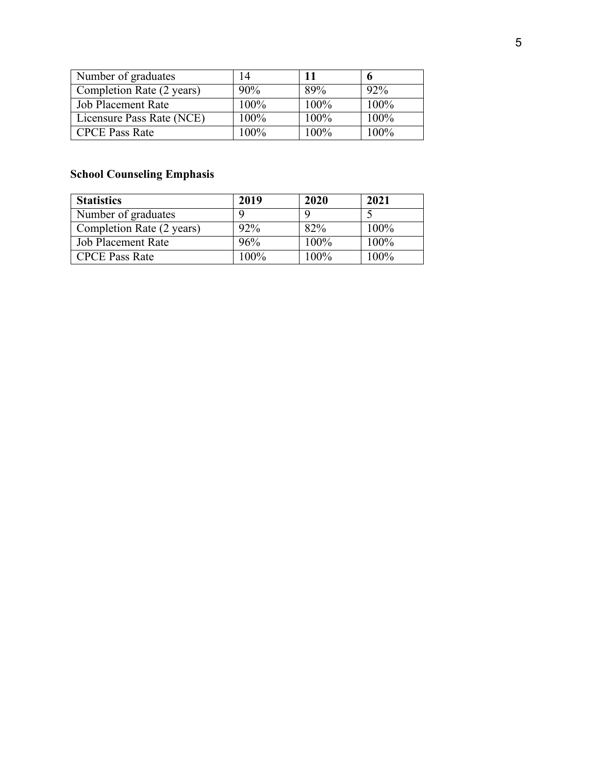| Number of graduates       |      |         |      |
|---------------------------|------|---------|------|
| Completion Rate (2 years) | 90%  | 89%     | 92%  |
| Job Placement Rate        | 100% | $100\%$ | 100% |
| Licensure Pass Rate (NCE) | 100% | 100%    | 100% |
| <b>CPCE Pass Rate</b>     | 100% | $100\%$ | 100% |

# **School Counseling Emphasis**

| <b>Statistics</b>         | 2019 | 2020 | 2021    |
|---------------------------|------|------|---------|
| Number of graduates       |      |      |         |
| Completion Rate (2 years) | 92%  | 82%  | $100\%$ |
| <b>Job Placement Rate</b> | 96%  | 100% | 100%    |
| <b>CPCE</b> Pass Rate     | 100% | 100% | 100%    |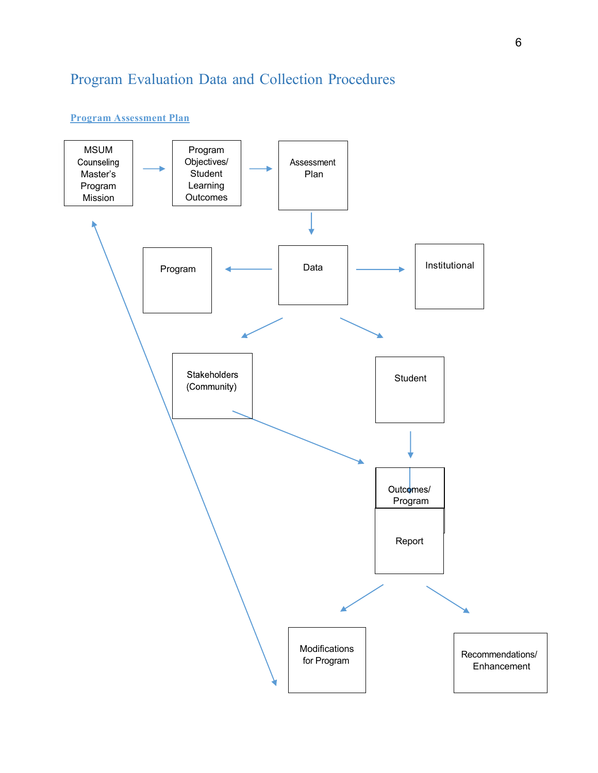# <span id="page-5-0"></span>Program Evaluation Data and Collection Procedures

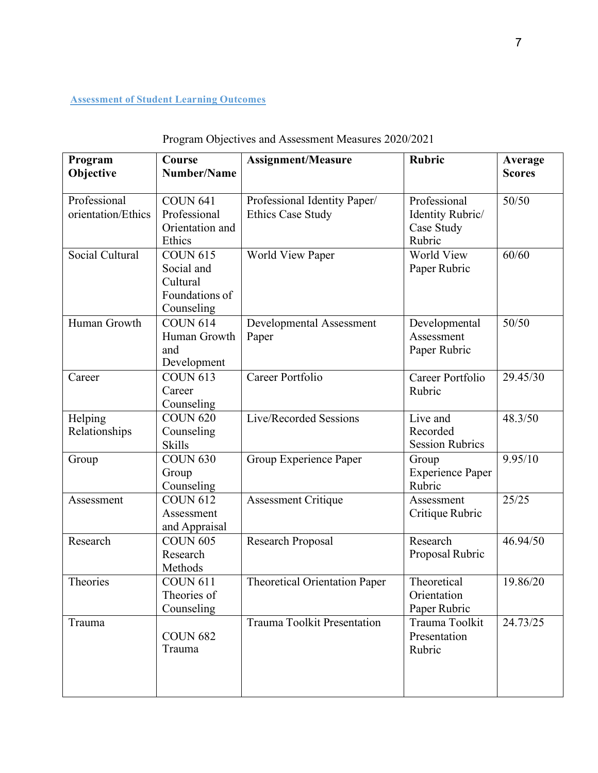## **Assessment of Student Learning Outcomes**

| Program<br>Objective               | Course<br>Number/Name                                                     | <b>Assignment/Measure</b>                                | <b>Rubric</b>                                            | Average<br><b>Scores</b> |
|------------------------------------|---------------------------------------------------------------------------|----------------------------------------------------------|----------------------------------------------------------|--------------------------|
| Professional<br>orientation/Ethics | <b>COUN 641</b><br>Professional<br>Orientation and<br>Ethics              | Professional Identity Paper/<br><b>Ethics Case Study</b> | Professional<br>Identity Rubric/<br>Case Study<br>Rubric | 50/50                    |
| Social Cultural                    | <b>COUN 615</b><br>Social and<br>Cultural<br>Foundations of<br>Counseling | World View Paper                                         | World View<br>Paper Rubric                               | 60/60                    |
| Human Growth                       | <b>COUN 614</b><br>Human Growth<br>and<br>Development                     | Developmental Assessment<br>Paper                        | Developmental<br>Assessment<br>Paper Rubric              | 50/50                    |
| Career                             | <b>COUN 613</b><br>Career<br>Counseling                                   | Career Portfolio                                         | Career Portfolio<br>Rubric                               | 29.45/30                 |
| Helping<br>Relationships           | <b>COUN 620</b><br>Counseling<br><b>Skills</b>                            | Live/Recorded Sessions                                   | Live and<br>Recorded<br><b>Session Rubrics</b>           | 48.3/50                  |
| Group                              | <b>COUN 630</b><br>Group<br>Counseling                                    | Group Experience Paper                                   | Group<br><b>Experience Paper</b><br>Rubric               | 9.95/10                  |
| Assessment                         | <b>COUN 612</b><br>Assessment<br>and Appraisal                            | <b>Assessment Critique</b>                               | Assessment<br>Critique Rubric                            | 25/25                    |
| Research                           | <b>COUN 605</b><br>Research<br>Methods                                    | <b>Research Proposal</b>                                 | Research<br>Proposal Rubric                              | 46.94/50                 |
| Theories                           | <b>COUN 611</b><br>Theories of<br>Counseling                              | <b>Theoretical Orientation Paper</b>                     | Theoretical<br>Orientation<br>Paper Rubric               | 19.86/20                 |
| Trauma                             | <b>COUN 682</b><br>Trauma                                                 | <b>Trauma Toolkit Presentation</b>                       | Trauma Toolkit<br>Presentation<br>Rubric                 | 24.73/25                 |

## Program Objectives and Assessment Measures 2020/2021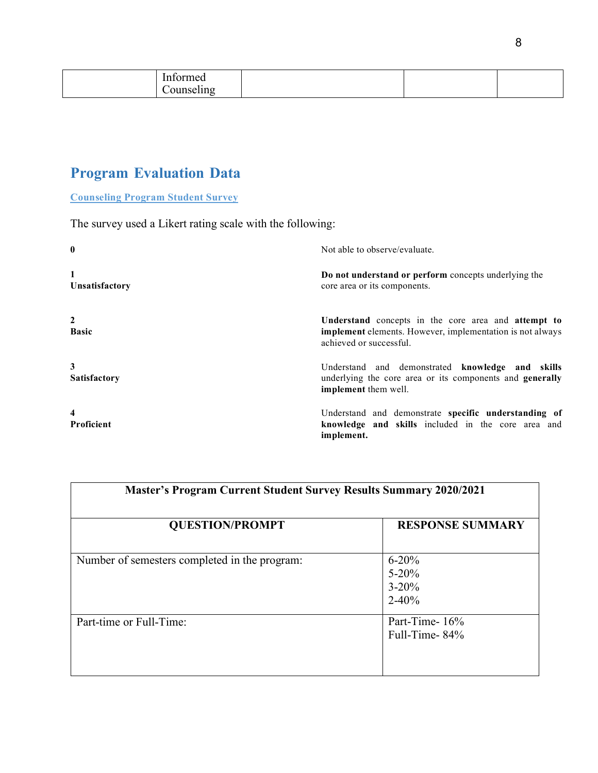# <span id="page-7-0"></span>**Program Evaluation Data**

**Counseling Program Student Survey**

The survey used a Likert rating scale with the following:

| $\bf{0}$                       | Not able to observe/evaluate.                                                                                                               |
|--------------------------------|---------------------------------------------------------------------------------------------------------------------------------------------|
| Unsatisfactory                 | Do not understand or perform concepts underlying the<br>core area or its components.                                                        |
| $\overline{2}$<br><b>Basic</b> | Understand concepts in the core area and attempt to<br>implement elements. However, implementation is not always<br>achieved or successful. |
| 3<br><b>Satisfactory</b>       | Understand and demonstrated knowledge and skills<br>underlying the core area or its components and <b>generally</b><br>implement them well. |
| 4<br>Proficient                | Understand and demonstrate specific understanding of<br>knowledge and skills included in the core area and<br>implement.                    |

| <b>Master's Program Current Student Survey Results Summary 2020/2021</b> |                                                  |  |
|--------------------------------------------------------------------------|--------------------------------------------------|--|
| <b>QUESTION/PROMPT</b>                                                   | <b>RESPONSE SUMMARY</b>                          |  |
| Number of semesters completed in the program:                            | $6 - 20%$<br>$5 - 20%$<br>$3 - 20%$<br>$2 - 40%$ |  |
| Part-time or Full-Time:                                                  | Part-Time-16%<br>Full-Time-84%                   |  |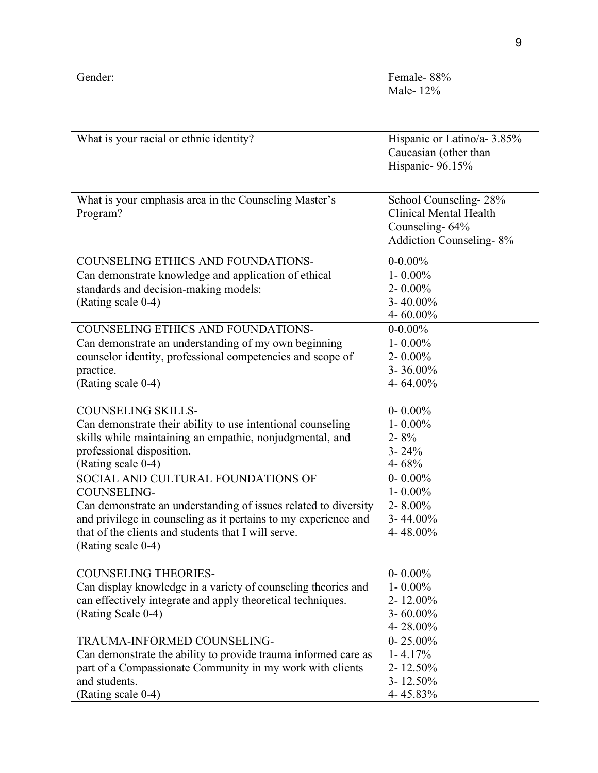| Gender:                                                                                                                                                                                                                                                                     | Female-88%<br>Male-12%                                                                                     |
|-----------------------------------------------------------------------------------------------------------------------------------------------------------------------------------------------------------------------------------------------------------------------------|------------------------------------------------------------------------------------------------------------|
| What is your racial or ethnic identity?                                                                                                                                                                                                                                     | Hispanic or Latino/a- 3.85%<br>Caucasian (other than<br>Hispanic- 96.15%                                   |
| What is your emphasis area in the Counseling Master's<br>Program?                                                                                                                                                                                                           | School Counseling-28%<br><b>Clinical Mental Health</b><br>Counseling-64%<br><b>Addiction Counseling-8%</b> |
| <b>COUNSELING ETHICS AND FOUNDATIONS-</b><br>Can demonstrate knowledge and application of ethical<br>standards and decision-making models:<br>(Rating scale 0-4)                                                                                                            | $0 - 0.00\%$<br>$1 - 0.00\%$<br>$2 - 0.00\%$<br>$3 - 40.00\%$<br>4-60.00%                                  |
| <b>COUNSELING ETHICS AND FOUNDATIONS-</b><br>Can demonstrate an understanding of my own beginning<br>counselor identity, professional competencies and scope of<br>practice.<br>(Rating scale 0-4)                                                                          | $0 - 0.00\%$<br>$1 - 0.00\%$<br>$2 - 0.00\%$<br>$3 - 36.00\%$<br>4-64.00%                                  |
| <b>COUNSELING SKILLS-</b><br>Can demonstrate their ability to use intentional counseling<br>skills while maintaining an empathic, nonjudgmental, and<br>professional disposition.<br>(Rating scale 0-4)                                                                     | $0 - 0.00\%$<br>$1 - 0.00\%$<br>$2 - 8\%$<br>$3 - 24\%$<br>4-68%                                           |
| SOCIAL AND CULTURAL FOUNDATIONS OF<br><b>COUNSELING-</b><br>Can demonstrate an understanding of issues related to diversity<br>and privilege in counseling as it pertains to my experience and<br>that of the clients and students that I will serve.<br>(Rating scale 0-4) | $0 - 0.00\%$<br>$1 - 0.00\%$<br>2-8.00%<br>$3 - 44.00\%$<br>4-48.00%                                       |
| <b>COUNSELING THEORIES-</b><br>Can display knowledge in a variety of counseling theories and<br>can effectively integrate and apply theoretical techniques.<br>(Rating Scale 0-4)                                                                                           | $0 - 0.00\%$<br>$1 - 0.00\%$<br>2-12.00%<br>$3 - 60.00\%$<br>$4 - 28.00\%$                                 |
| TRAUMA-INFORMED COUNSELING-<br>Can demonstrate the ability to provide trauma informed care as<br>part of a Compassionate Community in my work with clients<br>and students.<br>(Rating scale 0-4)                                                                           | $0 - 25.00\%$<br>$1 - 4.17\%$<br>$2 - 12.50\%$<br>$3 - 12.50\%$<br>4-45.83%                                |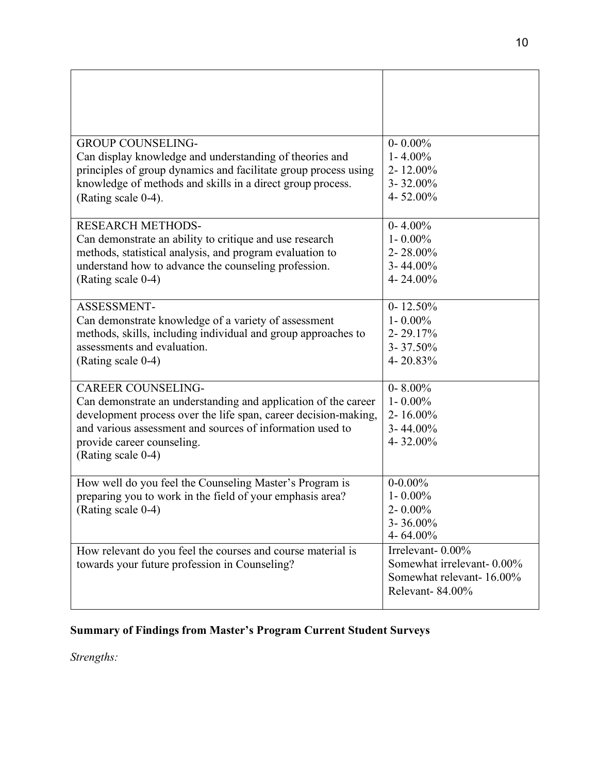| <b>GROUP COUNSELING-</b>                                        | $0 - 0.00\%$              |
|-----------------------------------------------------------------|---------------------------|
| Can display knowledge and understanding of theories and         | $1 - 4.00\%$              |
| principles of group dynamics and facilitate group process using | 2-12.00%                  |
| knowledge of methods and skills in a direct group process.      | $3 - 32.00\%$<br>4-52.00% |
| (Rating scale 0-4).                                             |                           |
| <b>RESEARCH METHODS-</b>                                        | $0 - 4.00\%$              |
| Can demonstrate an ability to critique and use research         | $1 - 0.00\%$              |
| methods, statistical analysis, and program evaluation to        | 2-28.00%                  |
| understand how to advance the counseling profession.            | $3 - 44.00\%$             |
| (Rating scale 0-4)                                              | 4-24.00%                  |
| ASSESSMENT-                                                     | $0 - 12.50\%$             |
| Can demonstrate knowledge of a variety of assessment            | $1 - 0.00\%$              |
| methods, skills, including individual and group approaches to   | 2-29.17%                  |
| assessments and evaluation.                                     | $3 - 37.50\%$             |
| (Rating scale 0-4)                                              | 4-20.83%                  |
|                                                                 |                           |
| <b>CAREER COUNSELING-</b>                                       | $0 - 8.00\%$              |
| Can demonstrate an understanding and application of the career  | $1 - 0.00\%$              |
| development process over the life span, career decision-making, | 2-16.00%                  |
| and various assessment and sources of information used to       | $3 - 44.00\%$             |
| provide career counseling.                                      | 4-32.00%                  |
| (Rating scale 0-4)                                              |                           |
| How well do you feel the Counseling Master's Program is         | $0 - 0.00\%$              |
| preparing you to work in the field of your emphasis area?       | $1 - 0.00\%$              |
| (Rating scale 0-4)                                              | $2 - 0.00\%$              |
|                                                                 | $3 - 36.00\%$             |
|                                                                 | 4-64.00%                  |
| How relevant do you feel the courses and course material is     | Irrelevant-0.00%          |
| towards your future profession in Counseling?                   | Somewhat irrelevant-0.00% |
|                                                                 | Somewhat relevant-16.00%  |
|                                                                 | Relevant-84.00%           |
|                                                                 |                           |

# **Summary of Findings from Master's Program Current Student Surveys**

*Strengths:*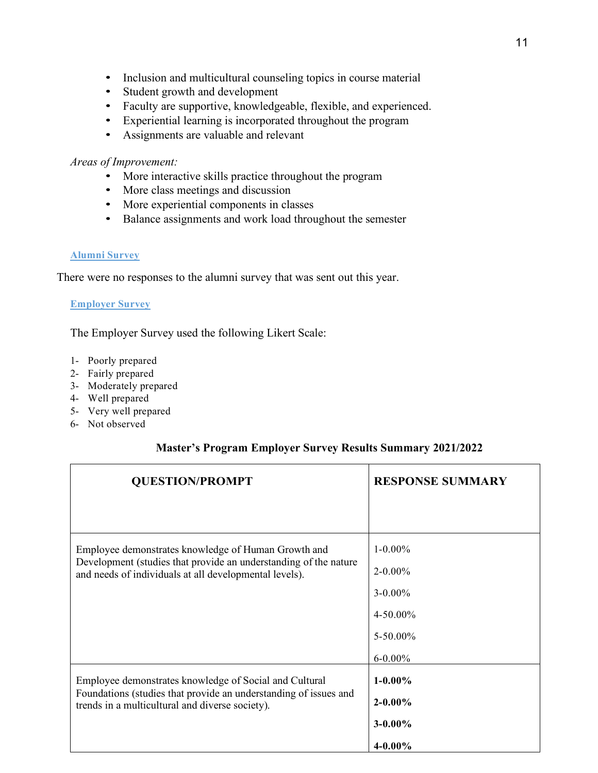- Inclusion and multicultural counseling topics in course material
- Student growth and development
- Faculty are supportive, knowledgeable, flexible, and experienced.
- Experiential learning is incorporated throughout the program
- Assignments are valuable and relevant

#### *Areas of Improvement:*

- More interactive skills practice throughout the program
- More class meetings and discussion
- More experiential components in classes
- Balance assignments and work load throughout the semester

#### **Alumni Survey**

There were no responses to the alumni survey that was sent out this year.

### **Employer Survey**

The Employer Survey used the following Likert Scale:

- 1- Poorly prepared
- 2- Fairly prepared
- 3- Moderately prepared
- 4- Well prepared
- 5- Very well prepared
- 6- Not observed

### **Master's Program Employer Survey Results Summary 2021/2022**

| <b>QUESTION/PROMPT</b>                                                                                                     | <b>RESPONSE SUMMARY</b> |
|----------------------------------------------------------------------------------------------------------------------------|-------------------------|
|                                                                                                                            |                         |
| Employee demonstrates knowledge of Human Growth and                                                                        | $1 - 0.00\%$            |
| Development (studies that provide an understanding of the nature<br>and needs of individuals at all developmental levels). | $2 - 0.00\%$            |
|                                                                                                                            | $3 - 0.00\%$            |
|                                                                                                                            | $4 - 50.00\%$           |
|                                                                                                                            | $5 - 50.00\%$           |
|                                                                                                                            | $6 - 0.00\%$            |
| Employee demonstrates knowledge of Social and Cultural                                                                     | $1 - 0.00\%$            |
| Foundations (studies that provide an understanding of issues and<br>trends in a multicultural and diverse society).        | $2 - 0.00\%$            |
|                                                                                                                            | $3 - 0.00\%$            |
|                                                                                                                            | $4 - 0.00\%$            |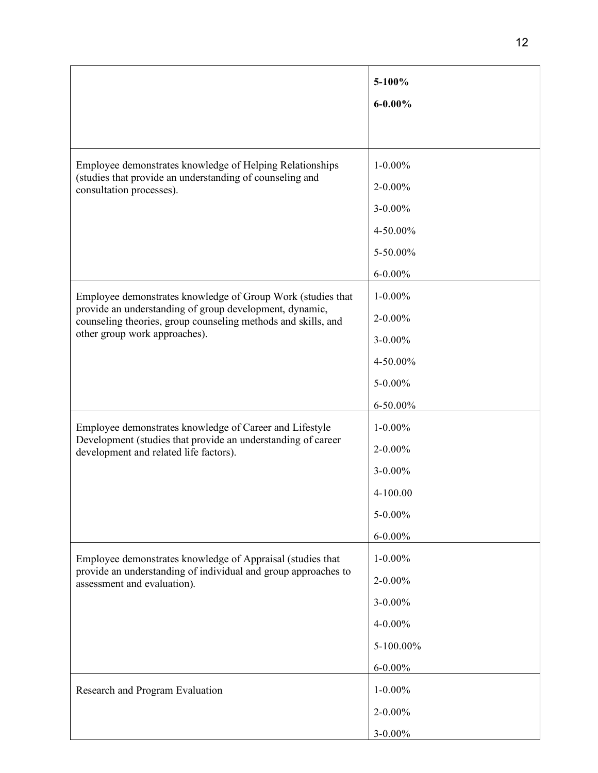|                                                                                                                                                             | 5-100%<br>$6 - 0.00%$ |
|-------------------------------------------------------------------------------------------------------------------------------------------------------------|-----------------------|
|                                                                                                                                                             |                       |
| Employee demonstrates knowledge of Helping Relationships<br>(studies that provide an understanding of counseling and<br>consultation processes).            | $1 - 0.00\%$          |
|                                                                                                                                                             | $2 - 0.00\%$          |
|                                                                                                                                                             | $3 - 0.00\%$          |
|                                                                                                                                                             | 4-50.00%              |
|                                                                                                                                                             | 5-50.00%              |
|                                                                                                                                                             | $6 - 0.00\%$          |
| Employee demonstrates knowledge of Group Work (studies that                                                                                                 | $1 - 0.00\%$          |
| provide an understanding of group development, dynamic,<br>counseling theories, group counseling methods and skills, and                                    | $2 - 0.00\%$          |
| other group work approaches).                                                                                                                               | 3-0.00%               |
|                                                                                                                                                             | 4-50.00%              |
|                                                                                                                                                             | 5-0.00%               |
|                                                                                                                                                             | 6-50.00%              |
| Employee demonstrates knowledge of Career and Lifestyle                                                                                                     | $1 - 0.00\%$          |
| Development (studies that provide an understanding of career<br>development and related life factors).                                                      | $2 - 0.00\%$          |
|                                                                                                                                                             | 3-0.00%               |
|                                                                                                                                                             | 4-100.00              |
|                                                                                                                                                             | 5-0.00%               |
|                                                                                                                                                             | $6 - 0.00\%$          |
| Employee demonstrates knowledge of Appraisal (studies that<br>provide an understanding of individual and group approaches to<br>assessment and evaluation). | $1 - 0.00\%$          |
|                                                                                                                                                             | $2 - 0.00\%$          |
|                                                                                                                                                             | 3-0.00%               |
|                                                                                                                                                             | 4-0.00%               |
|                                                                                                                                                             | 5-100.00%             |
|                                                                                                                                                             | $6 - 0.00\%$          |
| Research and Program Evaluation                                                                                                                             | $1 - 0.00\%$          |
|                                                                                                                                                             | $2 - 0.00\%$          |
|                                                                                                                                                             | $3 - 0.00\%$          |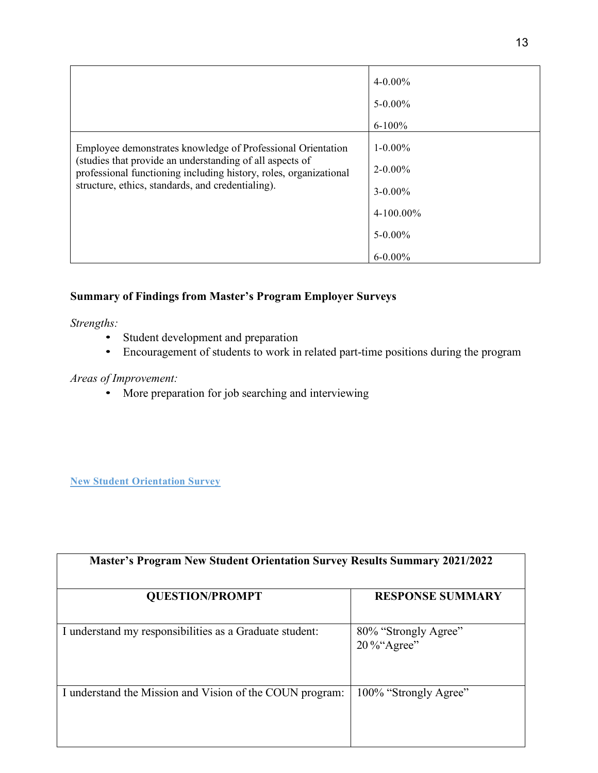|                                                                                                                                                                                                                                                   | $4 - 0.00\%$<br>$5 - 0.00\%$<br>$6 - 100\%$                                                  |
|---------------------------------------------------------------------------------------------------------------------------------------------------------------------------------------------------------------------------------------------------|----------------------------------------------------------------------------------------------|
| Employee demonstrates knowledge of Professional Orientation<br>(studies that provide an understanding of all aspects of<br>professional functioning including history, roles, organizational<br>structure, ethics, standards, and credentialing). | $1 - 0.00\%$<br>$2 - 0.00\%$<br>$3 - 0.00\%$<br>$4-100.00\%$<br>$5 - 0.00\%$<br>$6 - 0.00\%$ |

### **Summary of Findings from Master's Program Employer Surveys**

*Strengths:* 

- Student development and preparation
- Encouragement of students to work in related part-time positions during the program

### *Areas of Improvement:*

• More preparation for job searching and interviewing

**New Student Orientation Survey**

| <b>Master's Program New Student Orientation Survey Results Summary 2021/2022</b> |                                    |  |
|----------------------------------------------------------------------------------|------------------------------------|--|
| <b>OUESTION/PROMPT</b>                                                           | <b>RESPONSE SUMMARY</b>            |  |
| I understand my responsibilities as a Graduate student:                          | 80% "Strongly Agree"<br>20%"Agree" |  |
| I understand the Mission and Vision of the COUN program:                         | 100% "Strongly Agree"              |  |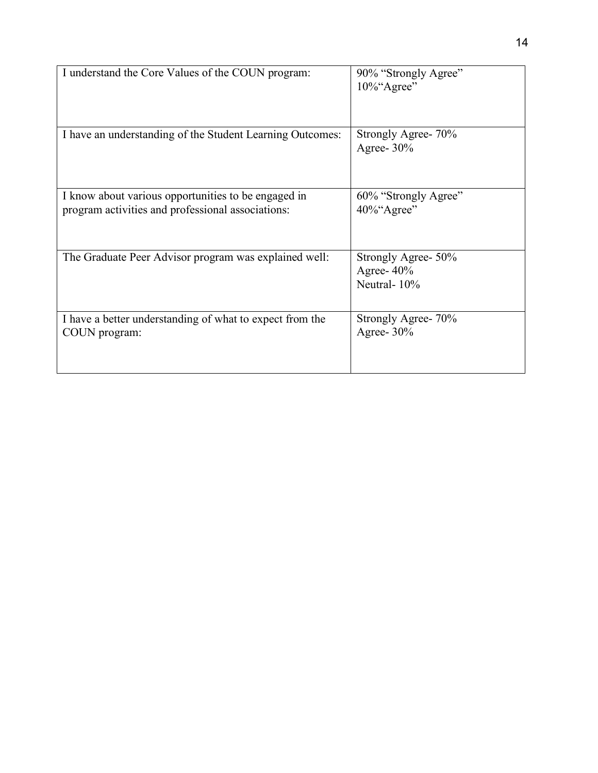| I understand the Core Values of the COUN program:                                                        | 90% "Strongly Agree"<br>$10\%$ "Agree"              |
|----------------------------------------------------------------------------------------------------------|-----------------------------------------------------|
| I have an understanding of the Student Learning Outcomes:                                                | Strongly Agree- 70%<br>Agree- $30\%$                |
| I know about various opportunities to be engaged in<br>program activities and professional associations: | 60% "Strongly Agree"<br>40%"Agree"                  |
| The Graduate Peer Advisor program was explained well:                                                    | Strongly Agree- 50%<br>Agree- $40\%$<br>Neutral-10% |
| I have a better understanding of what to expect from the<br>COUN program:                                | Strongly Agree- 70%<br>Agree- $30\%$                |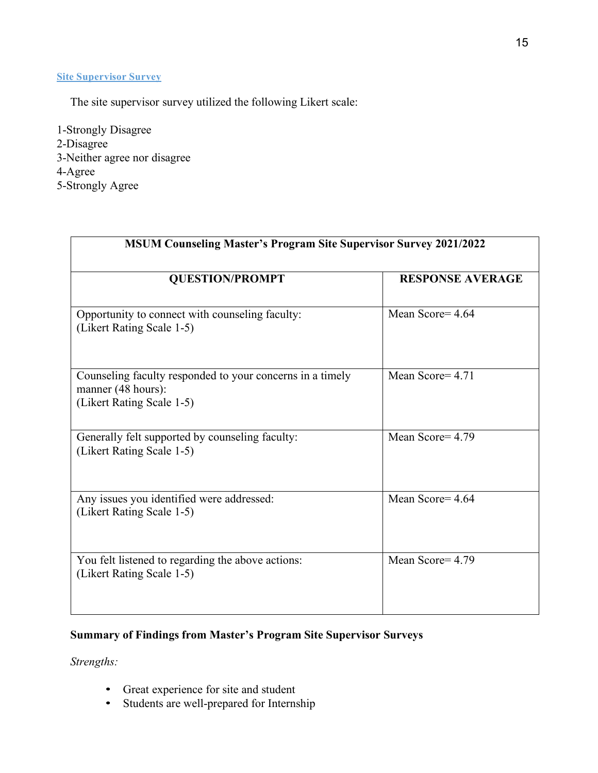### **Site Supervisor Survey**

The site supervisor survey utilized the following Likert scale:

1-Strongly Disagree 2-Disagree 3-Neither agree nor disagree 4-Agree 5-Strongly Agree

| <b>MSUM Counseling Master's Program Site Supervisor Survey 2021/2022</b>                                     |                         |  |
|--------------------------------------------------------------------------------------------------------------|-------------------------|--|
| <b>QUESTION/PROMPT</b>                                                                                       | <b>RESPONSE AVERAGE</b> |  |
| Opportunity to connect with counseling faculty:<br>(Likert Rating Scale 1-5)                                 | Mean Score= 4.64        |  |
| Counseling faculty responded to your concerns in a timely<br>manner (48 hours):<br>(Likert Rating Scale 1-5) | Mean Score = $4.71$     |  |
| Generally felt supported by counseling faculty:<br>(Likert Rating Scale 1-5)                                 | Mean Score= 4.79        |  |
| Any issues you identified were addressed:<br>(Likert Rating Scale 1-5)                                       | Mean Score= 4.64        |  |
| You felt listened to regarding the above actions:<br>(Likert Rating Scale 1-5)                               | Mean Score= 4.79        |  |

## **Summary of Findings from Master's Program Site Supervisor Surveys**

*Strengths:* 

- Great experience for site and student
- Students are well-prepared for Internship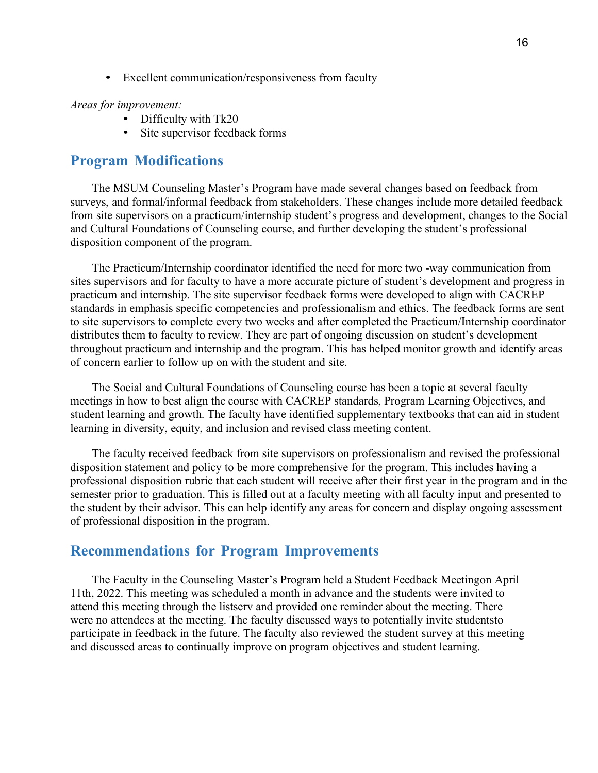• Excellent communication/responsiveness from faculty

#### *Areas for improvement:*

- Difficulty with Tk20
- Site supervisor feedback forms

## <span id="page-15-0"></span>**Program Modifications**

The MSUM Counseling Master's Program have made several changes based on feedback from surveys, and formal/informal feedback from stakeholders. These changes include more detailed feedback from site supervisors on a practicum/internship student's progress and development, changes to the Social and Cultural Foundations of Counseling course, and further developing the student's professional disposition component of the program.

The Practicum/Internship coordinator identified the need for more two -way communication from sites supervisors and for faculty to have a more accurate picture of student's development and progress in practicum and internship. The site supervisor feedback forms were developed to align with CACREP standards in emphasis specific competencies and professionalism and ethics. The feedback forms are sent to site supervisors to complete every two weeks and after completed the Practicum/Internship coordinator distributes them to faculty to review. They are part of ongoing discussion on student's development throughout practicum and internship and the program. This has helped monitor growth and identify areas of concern earlier to follow up on with the student and site.

The Social and Cultural Foundations of Counseling course has been a topic at several faculty meetings in how to best align the course with CACREP standards, Program Learning Objectives, and student learning and growth. The faculty have identified supplementary textbooks that can aid in student learning in diversity, equity, and inclusion and revised class meeting content.

The faculty received feedback from site supervisors on professionalism and revised the professional disposition statement and policy to be more comprehensive for the program. This includes having a professional disposition rubric that each student will receive after their first year in the program and in the semester prior to graduation. This is filled out at a faculty meeting with all faculty input and presented to the student by their advisor. This can help identify any areas for concern and display ongoing assessment of professional disposition in the program.

### <span id="page-15-1"></span>**Recommendations for Program Improvements**

The Faculty in the Counseling Master's Program held a Student Feedback Meetingon April 11th, 2022. This meeting was scheduled a month in advance and the students were invited to attend this meeting through the listserv and provided one reminder about the meeting. There were no attendees at the meeting. The faculty discussed ways to potentially invite studentsto participate in feedback in the future. The faculty also reviewed the student survey at this meeting and discussed areas to continually improve on program objectives and student learning.